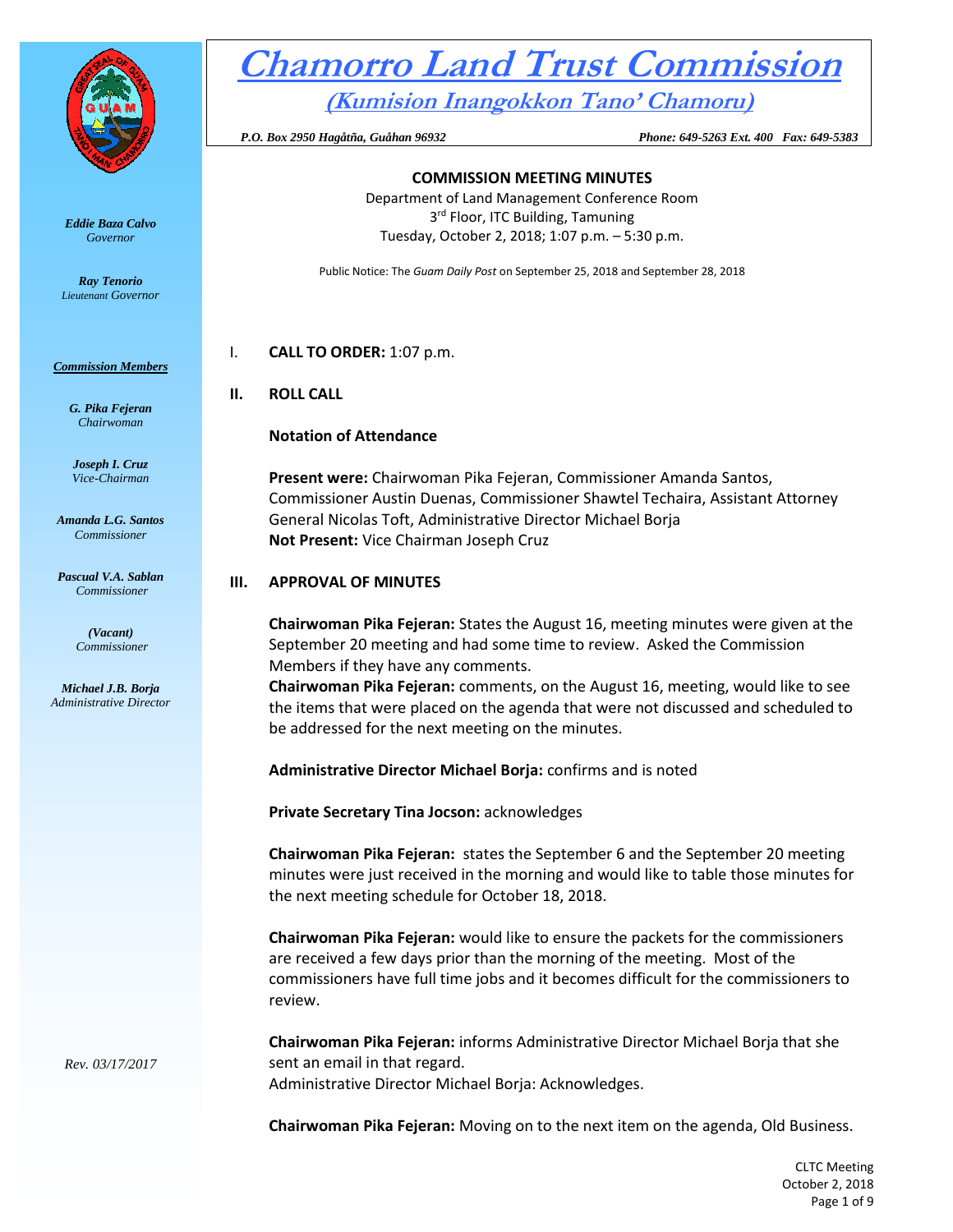

*Eddie Baza Calvo Governor* 

*Ray Tenorio Lieutenant Governor* 

#### *Commission Members*

*G. Pika Fejeran Chairwoman*

*Joseph I. Cruz Vice-Chairman*

*Amanda L.G. Santos Commissioner*

*Pascual V.A. Sablan Commissioner*

> *(Vacant) Commissioner*

*Michael J.B. Borja Administrative Director*

*Rev. 03/17/2017*

# **Chamorro Land Trust Commission (Kumision Inangokkon Tano' Chamoru)**

 *P.O. Box 2950 Hagåtña, Guåhan 96932 Phone: 649-5263 Ext. 400 Fax: 649-5383*

#### **COMMISSION MEETING MINUTES** Department of Land Management Conference Room 3<sup>rd</sup> Floor, ITC Building, Tamuning Tuesday, October 2, 2018; 1:07 p.m. – 5:30 p.m.

Public Notice: The *Guam Daily Post* on September 25, 2018 and September 28, 2018

I. **CALL TO ORDER:** 1:07 p.m.

#### **II. ROLL CALL**

#### **Notation of Attendance**

**Present were:** Chairwoman Pika Fejeran, Commissioner Amanda Santos, Commissioner Austin Duenas, Commissioner Shawtel Techaira, Assistant Attorney General Nicolas Toft, Administrative Director Michael Borja **Not Present:** Vice Chairman Joseph Cruz

#### **III. APPROVAL OF MINUTES**

**Chairwoman Pika Fejeran:** States the August 16, meeting minutes were given at the September 20 meeting and had some time to review. Asked the Commission Members if they have any comments.

**Chairwoman Pika Fejeran:** comments, on the August 16, meeting, would like to see the items that were placed on the agenda that were not discussed and scheduled to be addressed for the next meeting on the minutes.

**Administrative Director Michael Borja:** confirms and is noted

**Private Secretary Tina Jocson:** acknowledges

**Chairwoman Pika Fejeran:** states the September 6 and the September 20 meeting minutes were just received in the morning and would like to table those minutes for the next meeting schedule for October 18, 2018.

**Chairwoman Pika Fejeran:** would like to ensure the packets for the commissioners are received a few days prior than the morning of the meeting. Most of the commissioners have full time jobs and it becomes difficult for the commissioners to review.

**Chairwoman Pika Fejeran:** informs Administrative Director Michael Borja that she sent an email in that regard. Administrative Director Michael Borja: Acknowledges.

**Chairwoman Pika Fejeran:** Moving on to the next item on the agenda, Old Business.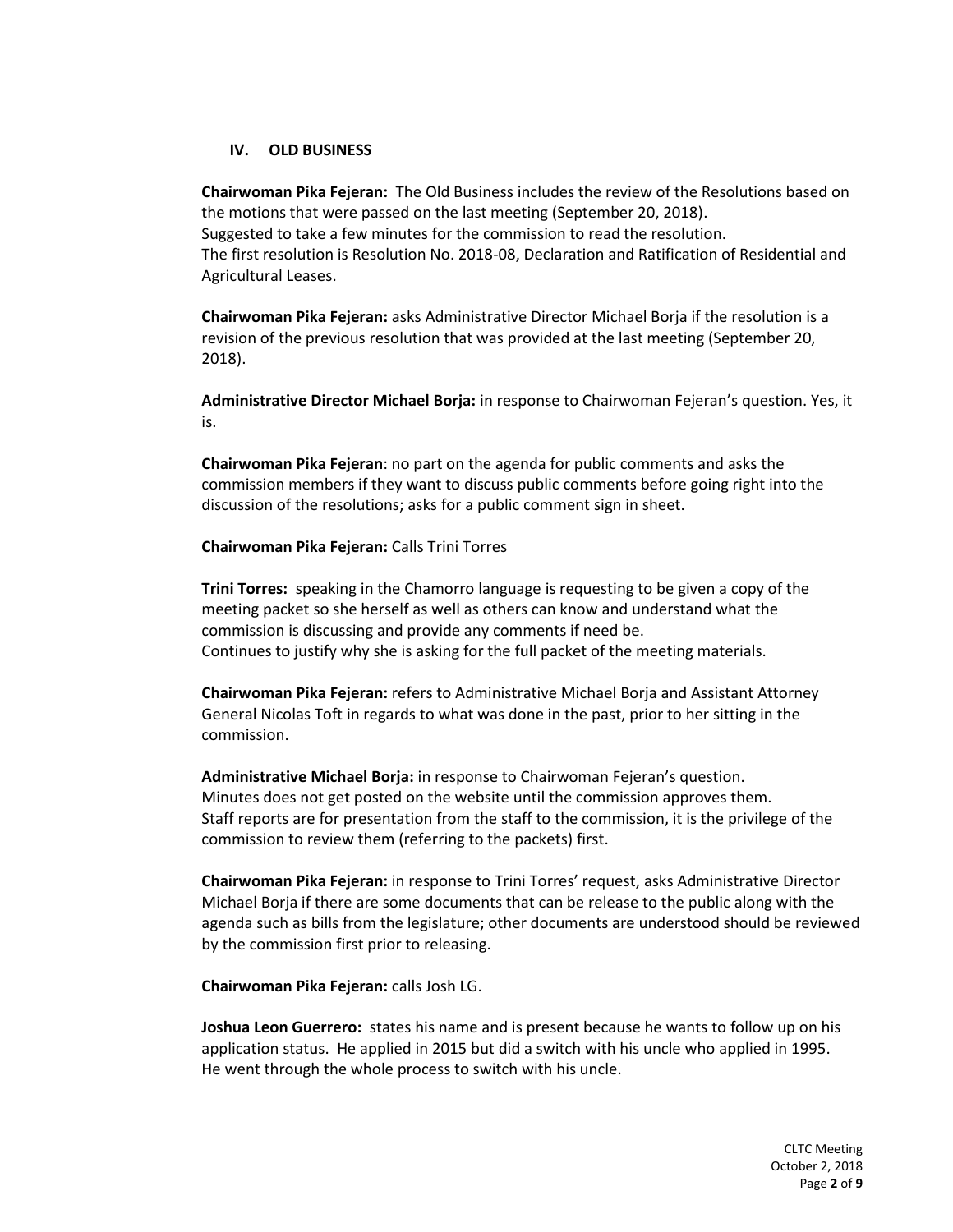# **IV. OLD BUSINESS**

**Chairwoman Pika Fejeran:** The Old Business includes the review of the Resolutions based on the motions that were passed on the last meeting (September 20, 2018).

Suggested to take a few minutes for the commission to read the resolution. The first resolution is Resolution No. 2018-08, Declaration and Ratification of Residential and Agricultural Leases.

**Chairwoman Pika Fejeran:** asks Administrative Director Michael Borja if the resolution is a revision of the previous resolution that was provided at the last meeting (September 20, 2018).

**Administrative Director Michael Borja:** in response to Chairwoman Fejeran's question. Yes, it is.

**Chairwoman Pika Fejeran**: no part on the agenda for public comments and asks the commission members if they want to discuss public comments before going right into the discussion of the resolutions; asks for a public comment sign in sheet.

## **Chairwoman Pika Fejeran:** Calls Trini Torres

**Trini Torres:** speaking in the Chamorro language is requesting to be given a copy of the meeting packet so she herself as well as others can know and understand what the commission is discussing and provide any comments if need be. Continues to justify why she is asking for the full packet of the meeting materials.

**Chairwoman Pika Fejeran:** refers to Administrative Michael Borja and Assistant Attorney General Nicolas Toft in regards to what was done in the past, prior to her sitting in the commission.

**Administrative Michael Borja:** in response to Chairwoman Fejeran's question. Minutes does not get posted on the website until the commission approves them. Staff reports are for presentation from the staff to the commission, it is the privilege of the commission to review them (referring to the packets) first.

**Chairwoman Pika Fejeran:** in response to Trini Torres' request, asks Administrative Director Michael Borja if there are some documents that can be release to the public along with the agenda such as bills from the legislature; other documents are understood should be reviewed by the commission first prior to releasing.

**Chairwoman Pika Fejeran:** calls Josh LG.

**Joshua Leon Guerrero:** states his name and is present because he wants to follow up on his application status. He applied in 2015 but did a switch with his uncle who applied in 1995. He went through the whole process to switch with his uncle.

> CLTC Meeting October 2, 2018 Page **2** of **9**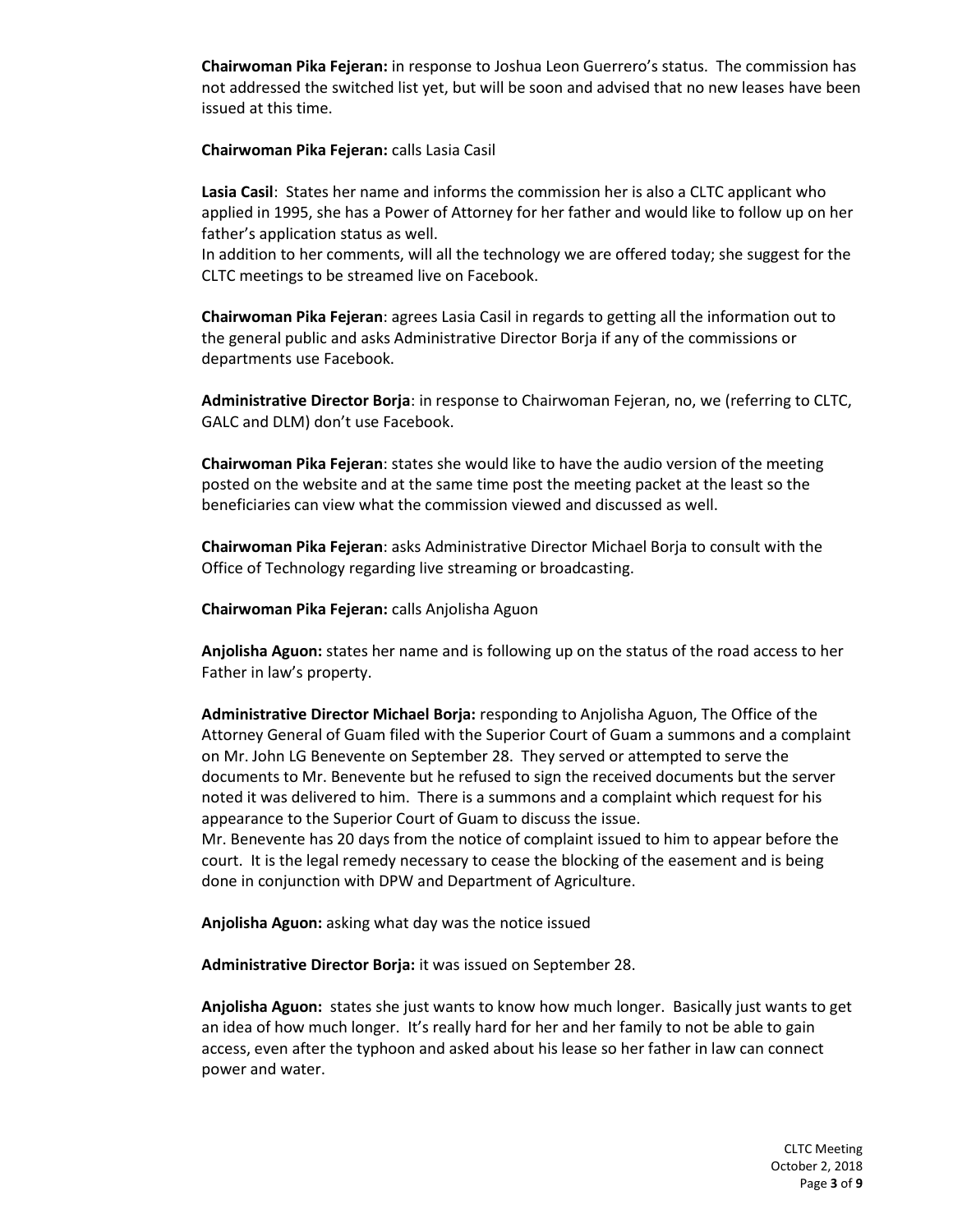**Chairwoman Pika Fejeran:** in response to Joshua Leon Guerrero's status. The commission has not addressed the switched list yet, but will be soon and advised that no new leases have been issued at this time.

**Chairwoman Pika Fejeran:** calls Lasia Casil

**Lasia Casil**: States her name and informs the commission her is also a CLTC applicant who applied in 1995, she has a Power of Attorney for her father and would like to follow up on her father's application status as well.

In addition to her comments, will all the technology we are offered today; she suggest for the CLTC meetings to be streamed live on Facebook.

**Chairwoman Pika Fejeran**: agrees Lasia Casil in regards to getting all the information out to the general public and asks Administrative Director Borja if any of the commissions or departments use Facebook.

**Administrative Director Borja**: in response to Chairwoman Fejeran, no, we (referring to CLTC, GALC and DLM) don't use Facebook.

**Chairwoman Pika Fejeran**: states she would like to have the audio version of the meeting posted on the website and at the same time post the meeting packet at the least so the beneficiaries can view what the commission viewed and discussed as well.

**Chairwoman Pika Fejeran**: asks Administrative Director Michael Borja to consult with the Office of Technology regarding live streaming or broadcasting.

**Chairwoman Pika Fejeran:** calls Anjolisha Aguon

**Anjolisha Aguon:** states her name and is following up on the status of the road access to her Father in law's property.

**Administrative Director Michael Borja:** responding to Anjolisha Aguon, The Office of the Attorney General of Guam filed with the Superior Court of Guam a summons and a complaint on Mr. John LG Benevente on September 28. They served or attempted to serve the documents to Mr. Benevente but he refused to sign the received documents but the server noted it was delivered to him. There is a summons and a complaint which request for his appearance to the Superior Court of Guam to discuss the issue. Mr. Benevente has 20 days from the notice of complaint issued to him to appear before the court. It is the legal remedy necessary to cease the blocking of the easement and is being done in conjunction with DPW and Department of Agriculture.

**Anjolisha Aguon:** asking what day was the notice issued

**Administrative Director Borja:** it was issued on September 28.

**Anjolisha Aguon:** states she just wants to know how much longer. Basically just wants to get an idea of how much longer. It's really hard for her and her family to not be able to gain access, even after the typhoon and asked about his lease so her father in law can connect power and water.

> CLTC Meeting October 2, 2018 Page **3** of **9**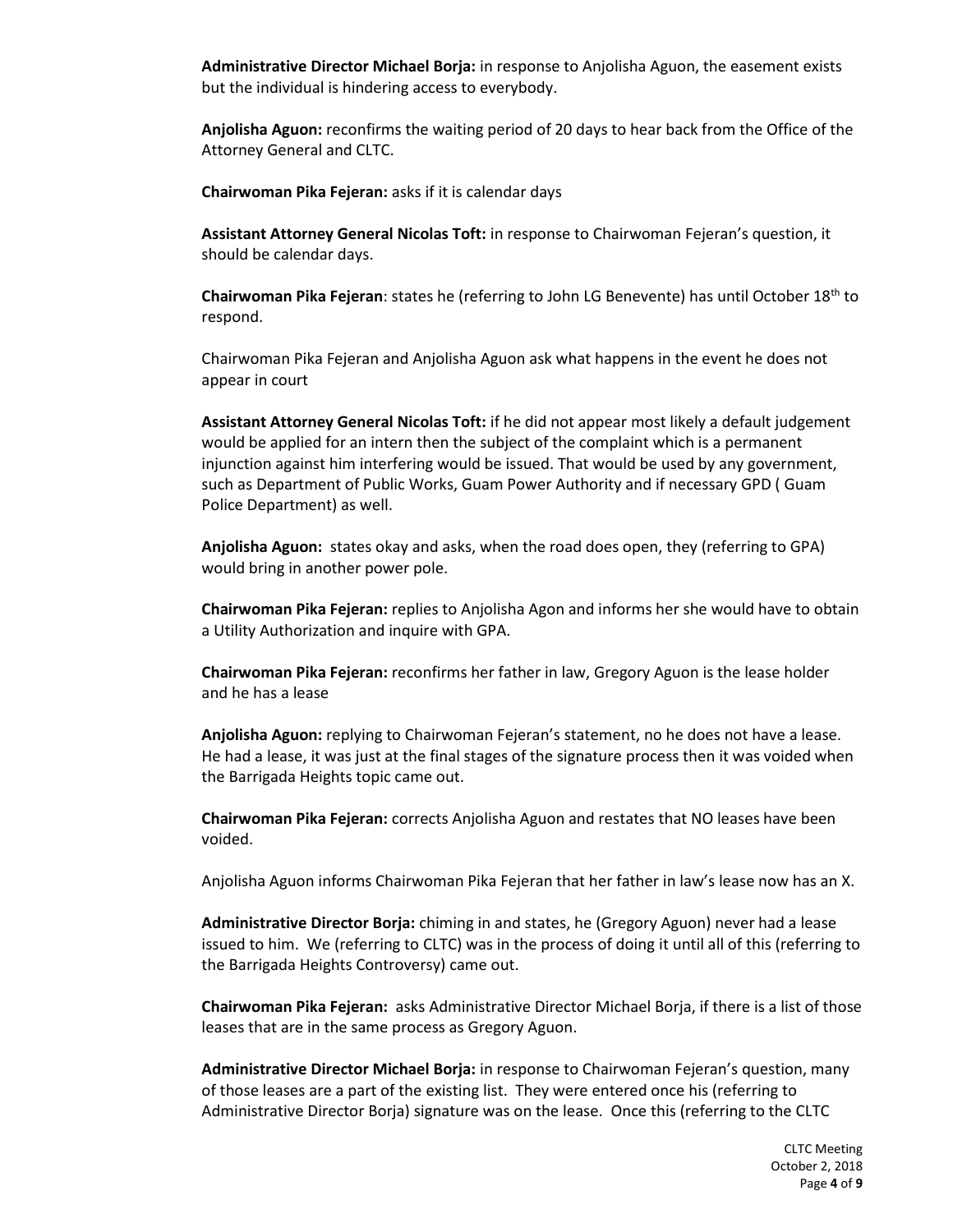**Administrative Director Michael Borja:** in response to Anjolisha Aguon, the easement exists but the individual is hindering access to everybody.

**Anjolisha Aguon:** reconfirms the waiting period of 20 days to hear back from the Office of the Attorney General and CLTC.

**Chairwoman Pika Fejeran:** asks if it is calendar days

**Assistant Attorney General Nicolas Toft:** in response to Chairwoman Fejeran's question, it should be calendar days.

**Chairwoman Pika Fejeran**: states he (referring to John LG Benevente) has until October 18th to respond.

Chairwoman Pika Fejeran and Anjolisha Aguon ask what happens in the event he does not appear in court

**Assistant Attorney General Nicolas Toft:** if he did not appear most likely a default judgement would be applied for an intern then the subject of the complaint which is a permanent injunction against him interfering would be issued. That would be used by any government, such as Department of Public Works, Guam Power Authority and if necessary GPD ( Guam Police Department) as well.

**Anjolisha Aguon:** states okay and asks, when the road does open, they (referring to GPA) would bring in another power pole.

**Chairwoman Pika Fejeran:** replies to Anjolisha Agon and informs her she would have to obtain a Utility Authorization and inquire with GPA.

**Chairwoman Pika Fejeran:** reconfirms her father in law, Gregory Aguon is the lease holder and he has a lease

**Anjolisha Aguon:** replying to Chairwoman Fejeran's statement, no he does not have a lease. He had a lease, it was just at the final stages of the signature process then it was voided when the Barrigada Heights topic came out.

**Chairwoman Pika Fejeran:** corrects Anjolisha Aguon and restates that NO leases have been voided.

Anjolisha Aguon informs Chairwoman Pika Fejeran that her father in law's lease now has an X.

**Administrative Director Borja:** chiming in and states, he (Gregory Aguon) never had a lease issued to him. We (referring to CLTC) was in the process of doing it until all of this (referring to the Barrigada Heights Controversy) came out.

**Chairwoman Pika Fejeran:** asks Administrative Director Michael Borja, if there is a list of those leases that are in the same process as Gregory Aguon.

**Administrative Director Michael Borja:** in response to Chairwoman Fejeran's question, many of those leases are a part of the existing list. They were entered once his (referring to Administrative Director Borja) signature was on the lease. Once this (referring to the CLTC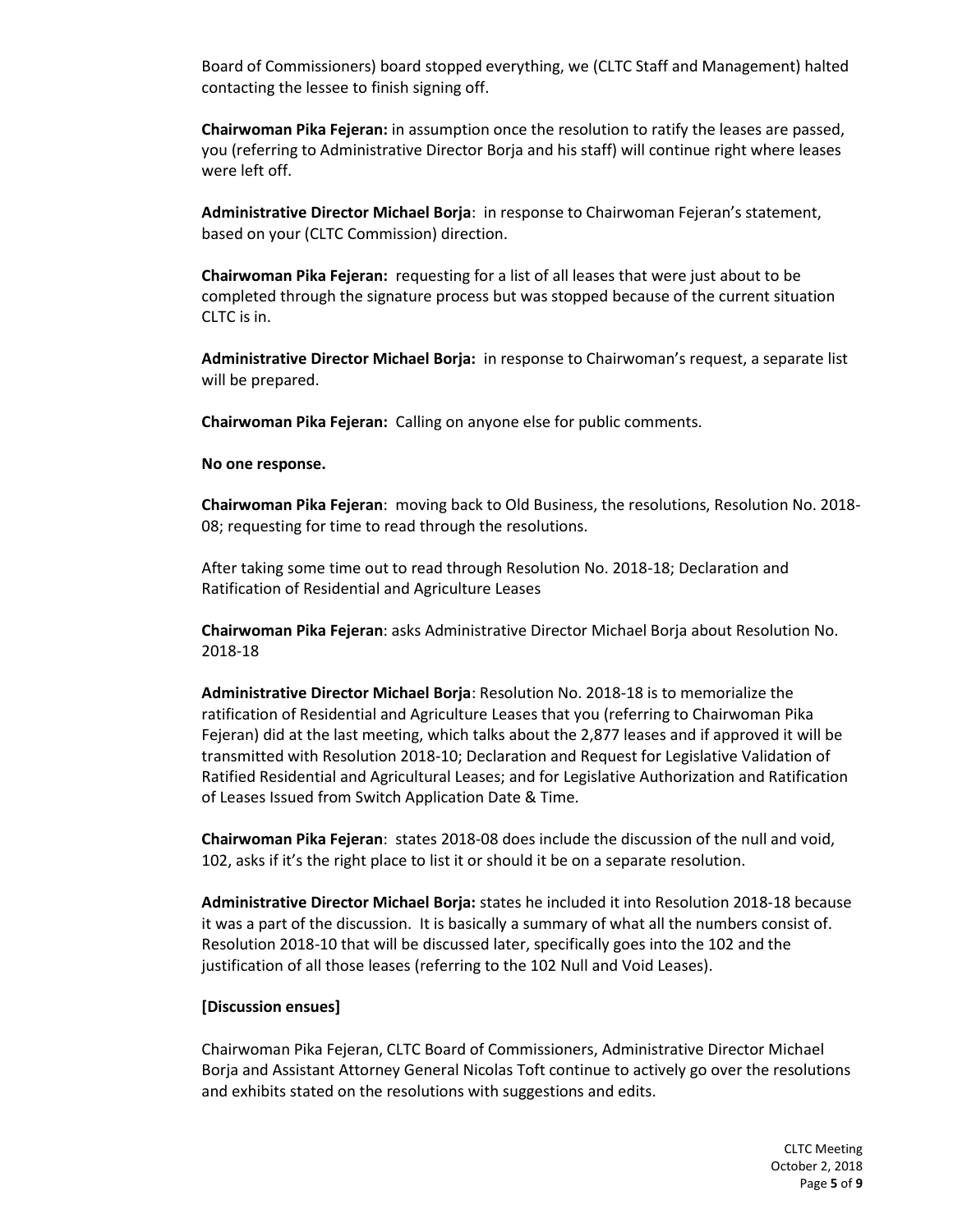Board of Commissioners) board stopped everything, we (CLTC Staff and Management) halted contacting the lessee to finish signing off.

**Chairwoman Pika Fejeran:** in assumption once the resolution to ratify the leases are passed, you (referring to Administrative Director Borja and his staff) will continue right where leases were left off.

**Administrative Director Michael Borja**: in response to Chairwoman Fejeran's statement, based on your (CLTC Commission) direction.

**Chairwoman Pika Fejeran:** requesting for a list of all leases that were just about to be completed through the signature process but was stopped because of the current situation CLTC is in.

**Administrative Director Michael Borja:** in response to Chairwoman's request, a separate list will be prepared.

**Chairwoman Pika Fejeran:** Calling on anyone else for public comments.

**No one response.**

**Chairwoman Pika Fejeran**: moving back to Old Business, the resolutions, Resolution No. 2018- 08; requesting for time to read through the resolutions.

After taking some time out to read through Resolution No. 2018-18; Declaration and Ratification of Residential and Agriculture Leases

**Chairwoman Pika Fejeran**: asks Administrative Director Michael Borja about Resolution No. 2018-18

**Administrative Director Michael Borja**: Resolution No. 2018-18 is to memorialize the ratification of Residential and Agriculture Leases that you (referring to Chairwoman Pika Fejeran) did at the last meeting, which talks about the 2,877 leases and if approved it will be transmitted with Resolution 2018-10; Declaration and Request for Legislative Validation of Ratified Residential and Agricultural Leases; and for Legislative Authorization and Ratification of Leases Issued from Switch Application Date & Time.

**Chairwoman Pika Fejeran**: states 2018-08 does include the discussion of the null and void, 102, asks if it's the right place to list it or should it be on a separate resolution.

**Administrative Director Michael Borja:** states he included it into Resolution 2018-18 because it was a part of the discussion. It is basically a summary of what all the numbers consist of. Resolution 2018-10 that will be discussed later, specifically goes into the 102 and the justification of all those leases (referring to the 102 Null and Void Leases).

#### **[Discussion ensues]**

Chairwoman Pika Fejeran, CLTC Board of Commissioners, Administrative Director Michael Borja and Assistant Attorney General Nicolas Toft continue to actively go over the resolutions and exhibits stated on the resolutions with suggestions and edits.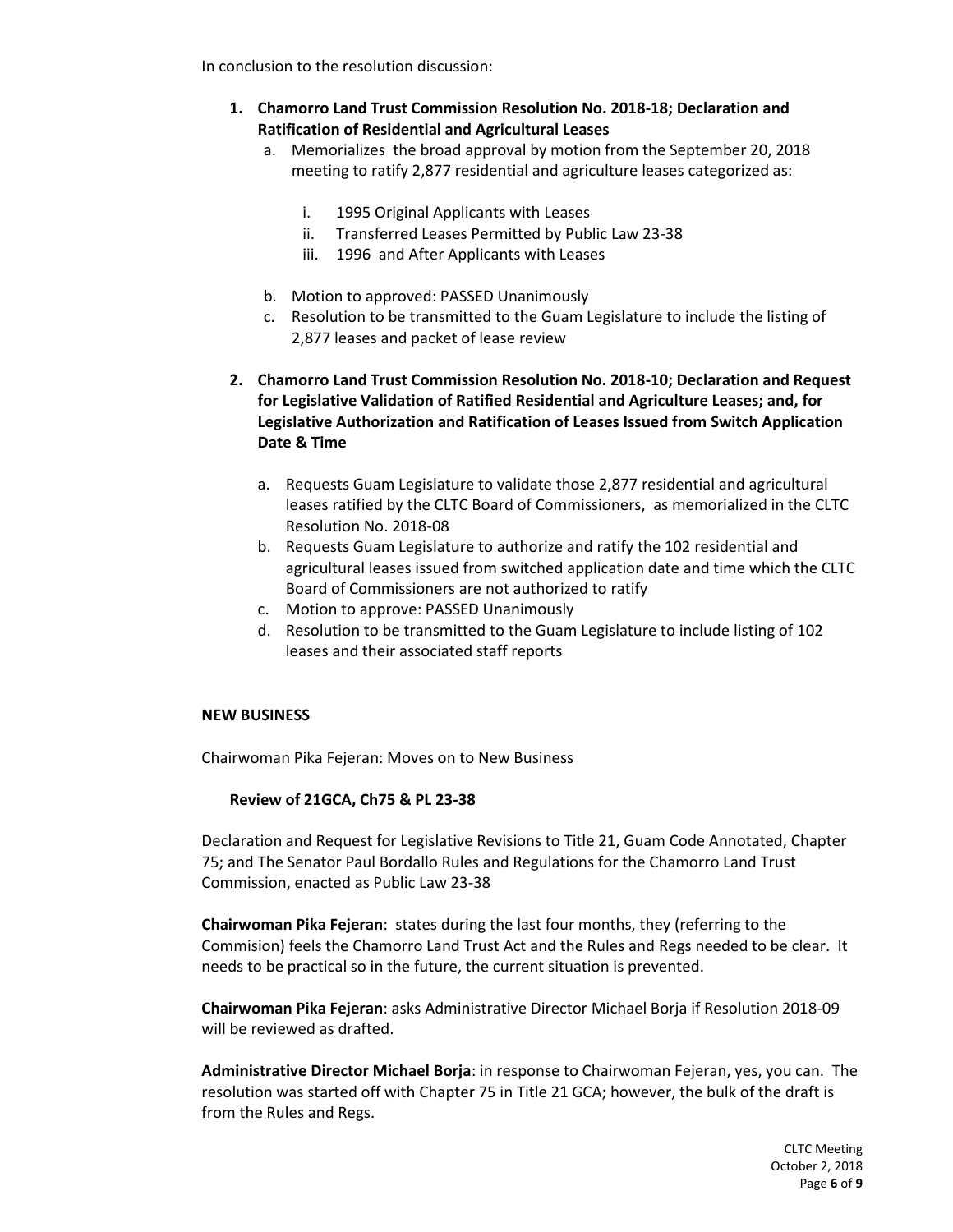In conclusion to the resolution discussion:

- **1. Chamorro Land Trust Commission Resolution No. 2018-18; Declaration and Ratification of Residential and Agricultural Leases**
	- a. Memorializes the broad approval by motion from the September 20, 2018 meeting to ratify 2,877 residential and agriculture leases categorized as:
		- i. 1995 Original Applicants with Leases
		- ii. Transferred Leases Permitted by Public Law 23-38
		- iii. 1996 and After Applicants with Leases
	- b. Motion to approved: PASSED Unanimously
	- c. Resolution to be transmitted to the Guam Legislature to include the listing of 2,877 leases and packet of lease review
- **2. Chamorro Land Trust Commission Resolution No. 2018-10; Declaration and Request for Legislative Validation of Ratified Residential and Agriculture Leases; and, for Legislative Authorization and Ratification of Leases Issued from Switch Application Date & Time**
	- a. Requests Guam Legislature to validate those 2,877 residential and agricultural leases ratified by the CLTC Board of Commissioners, as memorialized in the CLTC Resolution No. 2018-08
	- b. Requests Guam Legislature to authorize and ratify the 102 residential and agricultural leases issued from switched application date and time which the CLTC Board of Commissioners are not authorized to ratify
	- c. Motion to approve: PASSED Unanimously
	- d. Resolution to be transmitted to the Guam Legislature to include listing of 102 leases and their associated staff reports

## **NEW BUSINESS**

Chairwoman Pika Fejeran: Moves on to New Business

# **Review of 21GCA, Ch75 & PL 23-38**

Declaration and Request for Legislative Revisions to Title 21, Guam Code Annotated, Chapter 75; and The Senator Paul Bordallo Rules and Regulations for the Chamorro Land Trust Commission, enacted as Public Law 23-38

**Chairwoman Pika Fejeran**: states during the last four months, they (referring to the Commision) feels the Chamorro Land Trust Act and the Rules and Regs needed to be clear. It needs to be practical so in the future, the current situation is prevented.

**Chairwoman Pika Fejeran**: asks Administrative Director Michael Borja if Resolution 2018-09 will be reviewed as drafted.

**Administrative Director Michael Borja**: in response to Chairwoman Fejeran, yes, you can. The resolution was started off with Chapter 75 in Title 21 GCA; however, the bulk of the draft is from the Rules and Regs.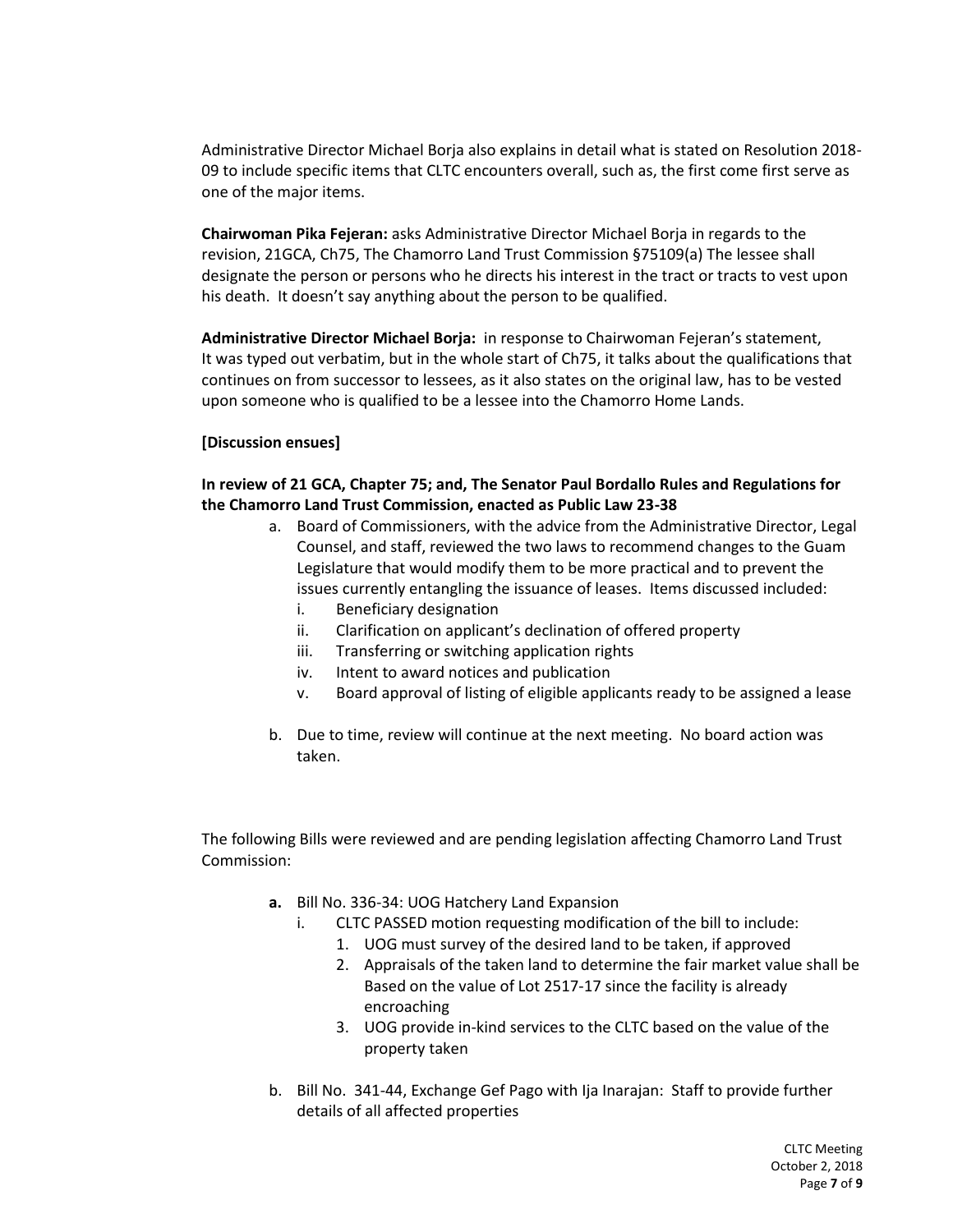Administrative Director Michael Borja also explains in detail what is stated on Resolution 2018- 09 to include specific items that CLTC encounters overall, such as, the first come first serve as one of the major items.

**Chairwoman Pika Fejeran:** asks Administrative Director Michael Borja in regards to the revision, 21GCA, Ch75, The Chamorro Land Trust Commission §75109(a) The lessee shall designate the person or persons who he directs his interest in the tract or tracts to vest upon his death. It doesn't say anything about the person to be qualified.

**Administrative Director Michael Borja:** in response to Chairwoman Fejeran's statement, It was typed out verbatim, but in the whole start of Ch75, it talks about the qualifications that continues on from successor to lessees, as it also states on the original law, has to be vested upon someone who is qualified to be a lessee into the Chamorro Home Lands.

# **[Discussion ensues]**

# **In review of 21 GCA, Chapter 75; and, The Senator Paul Bordallo Rules and Regulations for the Chamorro Land Trust Commission, enacted as Public Law 23-38**

- a. Board of Commissioners, with the advice from the Administrative Director, Legal Counsel, and staff, reviewed the two laws to recommend changes to the Guam Legislature that would modify them to be more practical and to prevent the issues currently entangling the issuance of leases. Items discussed included:
	- i. Beneficiary designation
	- ii. Clarification on applicant's declination of offered property
	- iii. Transferring or switching application rights
	- iv. Intent to award notices and publication
	- v. Board approval of listing of eligible applicants ready to be assigned a lease
- b. Due to time, review will continue at the next meeting. No board action was taken.

The following Bills were reviewed and are pending legislation affecting Chamorro Land Trust Commission:

- **a.** Bill No. 336-34: UOG Hatchery Land Expansion
	- i. CLTC PASSED motion requesting modification of the bill to include:
		- 1. UOG must survey of the desired land to be taken, if approved
		- 2. Appraisals of the taken land to determine the fair market value shall be Based on the value of Lot 2517-17 since the facility is already encroaching
		- 3. UOG provide in-kind services to the CLTC based on the value of the property taken
- b. Bill No. 341-44, Exchange Gef Pago with Ija Inarajan: Staff to provide further details of all affected properties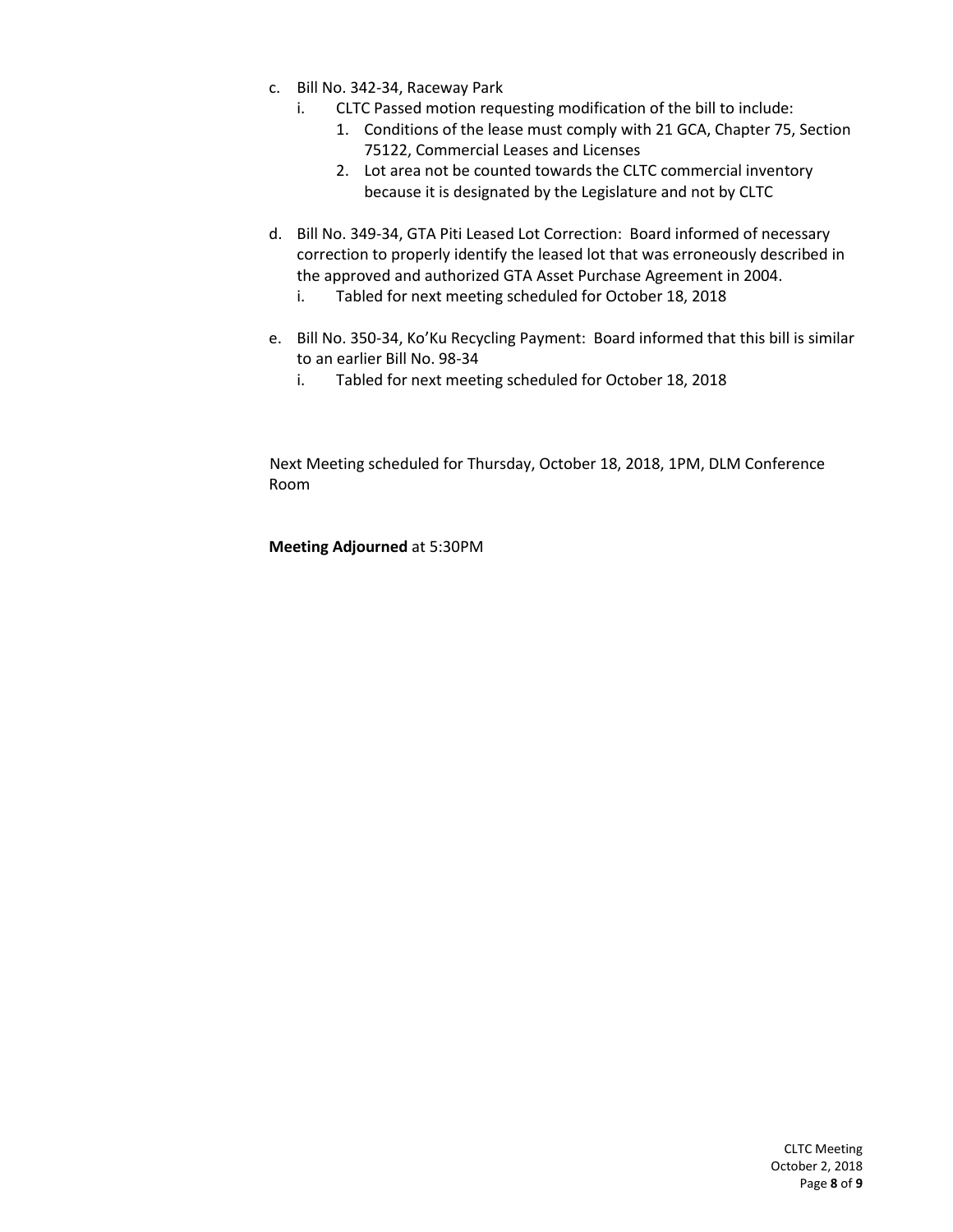- c. Bill No. 342-34, Raceway Park
	- i. CLTC Passed motion requesting modification of the bill to include:
		- 1. Conditions of the lease must comply with 21 GCA, Chapter 75, Section 75122, Commercial Leases and Licenses
		- 2. Lot area not be counted towards the CLTC commercial inventory because it is designated by the Legislature and not by CLTC
- d. Bill No. 349-34, GTA Piti Leased Lot Correction: Board informed of necessary correction to properly identify the leased lot that was erroneously described in the approved and authorized GTA Asset Purchase Agreement in 2004.
	- i. Tabled for next meeting scheduled for October 18, 2018
- e. Bill No. 350-34, Ko'Ku Recycling Payment: Board informed that this bill is similar to an earlier Bill No. 98-34
	- i. Tabled for next meeting scheduled for October 18, 2018

Next Meeting scheduled for Thursday, October 18, 2018, 1PM, DLM Conference Room

**Meeting Adjourned** at 5:30PM